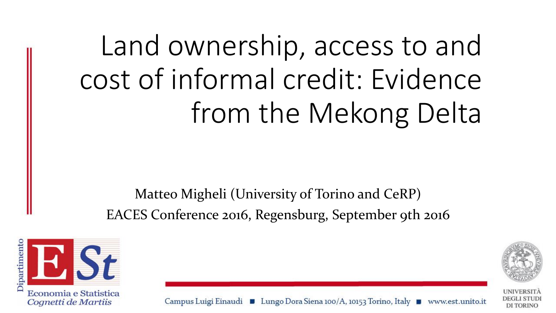Land ownership, access to and cost of informal credit: Evidence from the Mekong Delta

Matteo Migheli (University of Torino and CeRP) EACES Conference 2016, Regensburg, September 9th 2016





DEGLI STUDI **DI TORINO** 

Campus Luigi Einaudi ■ Lungo Dora Siena 100/A, 10153 Torino, Italy ■ www.est.unito.it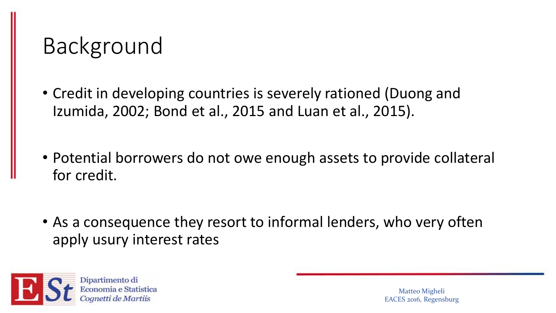#### Background

- Credit in developing countries is severely rationed (Duong and Izumida, 2002; Bond et al., 2015 and Luan et al., 2015).
- Potential borrowers do not owe enough assets to provide collateral for credit.
- As a consequence they resort to informal lenders, who very often apply usury interest rates

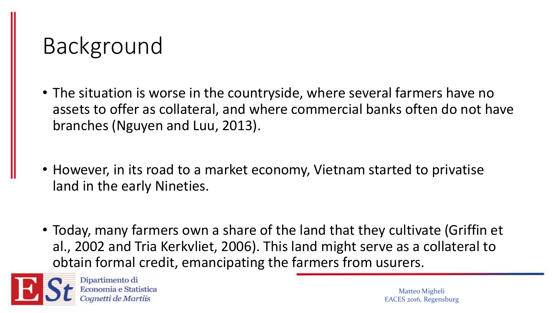## Background

- The situation is worse in the countryside, where several farmers have no assets to offer as collateral, and where commercial banks often do not have branches (Nguyen and Luu, 2013).
- However, in its road to a market economy, Vietnam started to privatise land in the early Nineties.
- Today, many farmers own a share of the land that they cultivate (Griffin et al., 2002 and Tria Kerkvliet, 2006). This land might serve as a collateral to obtain formal credit, emancipating the farmers from usurers.



Dipartimento di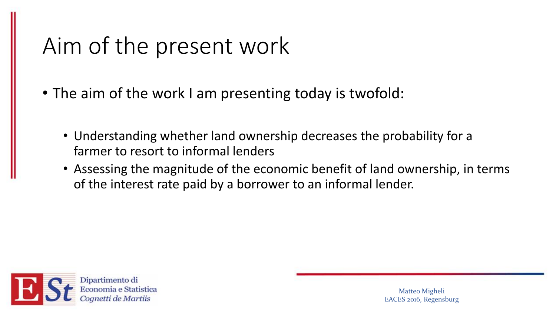#### Aim of the present work

- The aim of the work I am presenting today is twofold:
	- Understanding whether land ownership decreases the probability for a farmer to resort to informal lenders
	- Assessing the magnitude of the economic benefit of land ownership, in terms of the interest rate paid by a borrower to an informal lender.

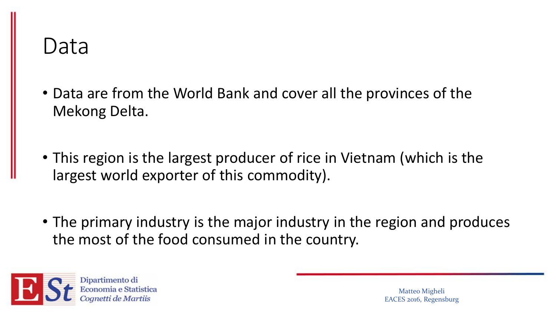#### Data

- Data are from the World Bank and cover all the provinces of the Mekong Delta.
- This region is the largest producer of rice in Vietnam (which is the largest world exporter of this commodity).
- The primary industry is the major industry in the region and produces the most of the food consumed in the country.

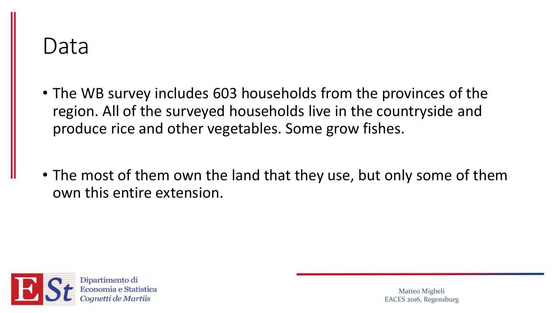#### Data

- The WB survey includes 603 households from the provinces of the region. All of the surveyed households live in the countryside and produce rice and other vegetables. Some grow fishes.
- The most of them own the land that they use, but only some of them own this entire extension.

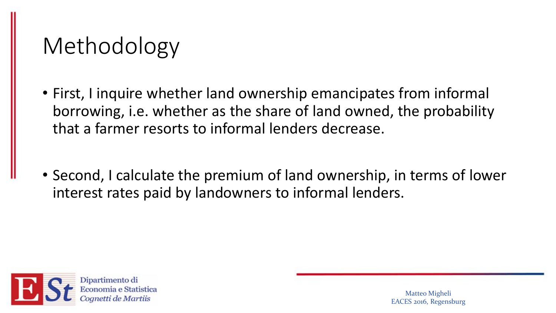## Methodology

- First, I inquire whether land ownership emancipates from informal borrowing, i.e. whether as the share of land owned, the probability that a farmer resorts to informal lenders decrease.
- Second, I calculate the premium of land ownership, in terms of lower interest rates paid by landowners to informal lenders.

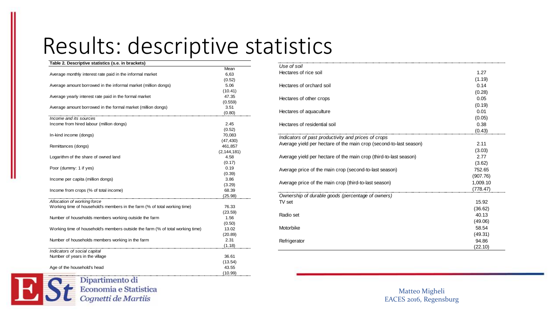#### Results: descriptive statistics

| Table 2. Descriptive statistics (s.e. in brackets)                             |               |
|--------------------------------------------------------------------------------|---------------|
|                                                                                | Mean          |
| Average monthly interest rate paid in the informal market                      | 6,63          |
|                                                                                | (0.52)        |
| Average amount borrowed in the informal market (million dongs)                 | 5.06          |
|                                                                                | (10.41)       |
| Average yearly interest rate paid in the formal market                         | 47.35         |
|                                                                                | (0.559)       |
| Average amount borrowed in the formal market (million dongs)                   | 3.51          |
|                                                                                | (0.80)        |
| Income and its sources                                                         |               |
| Income from hired labour (million dongs)                                       | 2.45          |
|                                                                                | (0.52)        |
| In-kind income (dongs)                                                         | 70,083        |
|                                                                                | (47, 430)     |
| Remittances (dongs)                                                            | 461,857       |
|                                                                                | (2, 144, 181) |
| Logarithm of the share of owned land                                           | 4.58          |
|                                                                                | (0.17)        |
| Poor (dummy: 1 if yes)                                                         | 0.19          |
|                                                                                | (0.39)        |
| Income per capita (million dongs)                                              | 3.86          |
|                                                                                | (3.29)        |
| Income from crops (% of total income)                                          | 68.39         |
|                                                                                | (25.98)       |
| Allocation of working force                                                    |               |
| Working time of household's members in the farm (% of total working time)      | 76.33         |
|                                                                                | (23.59)       |
| Number of households members working outside the farm                          | 1.56          |
|                                                                                | (0.50)        |
| Working time of household's members outside the farm (% of total working time) | 13.02         |
|                                                                                | (20.89)       |
| Number of households members working in the farm                               | 2.31          |
|                                                                                | (1.18)        |
| Indicators of social capital                                                   |               |
| Number of years in the village                                                 | 36.61         |
|                                                                                | (13.54)       |
| Age of the household's head                                                    | 43.55         |
|                                                                                | (10.99)       |

| Use of soil                                                        |          |
|--------------------------------------------------------------------|----------|
| Hectares of rice soil                                              | 1.27     |
|                                                                    | (1.19)   |
| Hectares of orchard soil                                           | 0.14     |
|                                                                    | (0.28)   |
| Hectares of other crops                                            | 0.05     |
|                                                                    | (0.19)   |
| Hectares of aquaculture                                            | 0.01     |
|                                                                    | (0.05)   |
| Hectares of residential soil                                       | 0.38     |
|                                                                    | (0.43)   |
| Indicators of past productivity and prices of crops                |          |
| Average yield per hectare of the main crop (second-to-last season) | 2.11     |
|                                                                    | (3.03)   |
| Average yield per hectare of the main crop (third-to-last season)  | 2.77     |
|                                                                    | (3.62)   |
| Average price of the main crop (second-to-last season)             | 752.65   |
|                                                                    | (907.76) |
| Average price of the main crop (third-to-last season)              | 1,009.10 |
|                                                                    | (778.47) |
| Ownership of durable goods (percentage of owners)                  |          |
| TV set                                                             | 15.92    |
|                                                                    | (36.62)  |
| Radio set                                                          | 40.13    |
|                                                                    | (49.06)  |
| Motorbike                                                          | 58.54    |
|                                                                    | (49.31)  |
| Refrigerator                                                       | 94.86    |
|                                                                    | (22.10)  |

Matteo Migheli EACES 2016, Regensburg

# Dipartimento di<br>Economia e Statistica<br>Cognetti de Martiis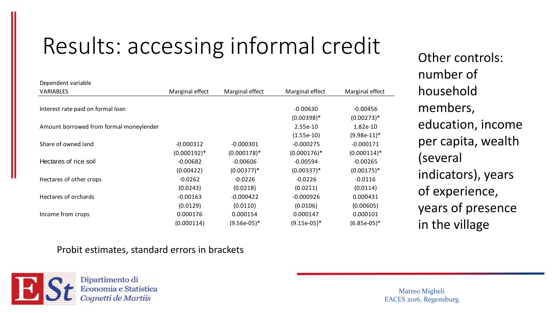## Results: accessing informal credit

| <b>VARIABLES</b>                        | Marginal effect<br>Marginal effect |                | Marginal effect | Marginal effect |  |
|-----------------------------------------|------------------------------------|----------------|-----------------|-----------------|--|
|                                         |                                    |                |                 |                 |  |
| Interest rate paid on formal loan       |                                    |                | $-0.00630$      | $-0.00456$      |  |
|                                         |                                    |                | $(0.00398)*$    | $(0.00273)*$    |  |
| Amount borrowed from formal moneylender |                                    |                | 2.55e-10        | 1.82e-10        |  |
|                                         |                                    |                | $(1.55e-10)$    | $(9.98e-11)^*$  |  |
| Share of owned land                     | $-0.000312$                        | $-0.000301$    | $-0.000275$     | $-0.000171$     |  |
|                                         | $(0.000192)*$                      | $(0.000178)*$  | $(0.000176)*$   | $(0.000114)^*$  |  |
| Hectares of rice soil                   | $-0.00682$                         | $-0.00606$     | $-0.00594$      | $-0.00265$      |  |
|                                         | (0.00422)                          | $(0.00377)^*$  | $(0.00337)^*$   | $(0.00175)*$    |  |
| Hectares of other crops                 | $-0.0262$                          | $-0.0226$      | $-0.0226$       | $-0.0116$       |  |
|                                         | (0.0243)                           | (0.0218)       | (0.0211)        | (0.0114)        |  |
| Hectares of orchards                    | $-0.00163$                         | $-0.000422$    | $-0.000926$     | 0.000431        |  |
|                                         | (0.0129)                           | (0.0110)       | (0.0106)        | (0.00605)       |  |
| Income from crops                       | 0.000176                           | 0.000154       | 0.000147        | 0.000101        |  |
|                                         | (0.000114)                         | $(9.56e-05)^*$ | $(9.15e-05)^*$  | $(6.85e-05)^*$  |  |

#### Probit estimates, standard errors in brackets



Dependent variable

Dipartimento di Economia e Statistica netti de Martiis

Other controls:

education, income

per capita, wealth

indicators), years

years of presence

of experience,

in the village

number of

household

members,

(several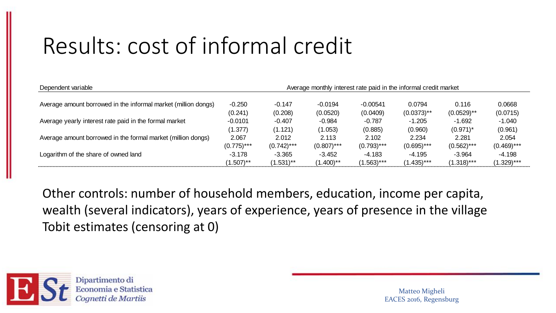### Results: cost of informal credit

| Dependent variable                                             | Average monthly interest rate paid in the informal credit market |               |               |               |               |               |               |
|----------------------------------------------------------------|------------------------------------------------------------------|---------------|---------------|---------------|---------------|---------------|---------------|
| Average amount borrowed in the informal market (million dongs) | $-0.250$                                                         | $-0.147$      | $-0.0194$     | $-0.00541$    | 0.0794        | 0.116         | 0.0668        |
|                                                                | (0.241)                                                          | (0.208)       | (0.0520)      | (0.0409)      | $(0.0373)$ ** | $(0.0529)$ ** | (0.0715)      |
| Average yearly interest rate paid in the formal market         | $-0.0101$                                                        | $-0.407$      | $-0.984$      | $-0.787$      | $-1.205$      | $-1.692$      | $-1.040$      |
|                                                                | (1.377)                                                          | (1.121)       | (1.053)       | (0.885)       | (0.960)       | $(0.971)^*$   | (0.961)       |
| Average amount borrowed in the formal market (million dongs)   | 2.067                                                            | 2.012         | 2.113         | 2.102         | 2.234         | 2.281         | 2.054         |
|                                                                | $(0.775)$ ***                                                    | $(0.742)$ *** | $(0.807)$ *** | $(0.793)$ *** | $(0.695)$ *** | $(0.562)$ *** | $(0.469)$ *** |
| Logarithm of the share of owned land                           | $-3.178$                                                         | $-3.365$      | $-3.452$      | $-4.183$      | $-4.195$      | $-3.964$      | -4.198        |
|                                                                | $(1.507)$ **                                                     | $(1.531)$ **  | $(1.400)$ **  | $(1.563)***$  | (1.435)***    | $(1.318)***$  | $(1.329)$ *** |

Other controls: number of household members, education, income per capita, wealth (several indicators), years of experience, years of presence in the village Tobit estimates (censoring at 0)



Dipartimento di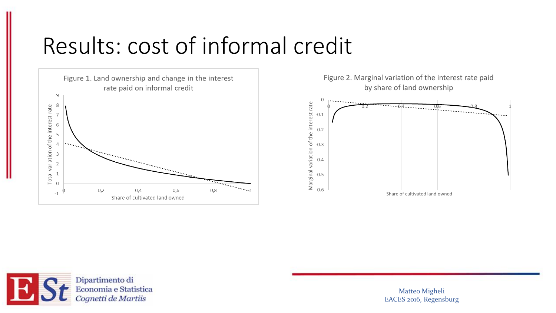#### Results: cost of informal credit



Figure 2. Marginal variation of the interest rate paid by share of land ownership



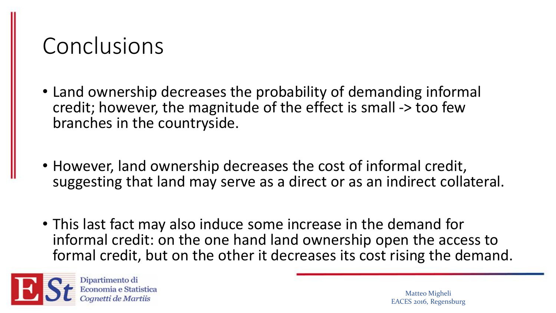#### Conclusions

- Land ownership decreases the probability of demanding informal credit; however, the magnitude of the effect is small -> too few branches in the countryside.
- However, land ownership decreases the cost of informal credit, suggesting that land may serve as a direct or as an indirect collateral.
- This last fact may also induce some increase in the demand for informal credit: on the one hand land ownership open the access to formal credit, but on the other it decreases its cost rising the demand.



Dipartimento di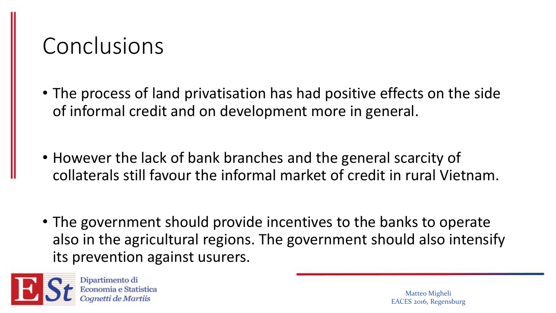#### Conclusions

- The process of land privatisation has had positive effects on the side of informal credit and on development more in general.
- However the lack of bank branches and the general scarcity of collaterals still favour the informal market of credit in rural Vietnam.
- The government should provide incentives to the banks to operate also in the agricultural regions. The government should also intensify its prevention against usurers.



Dipartimento di